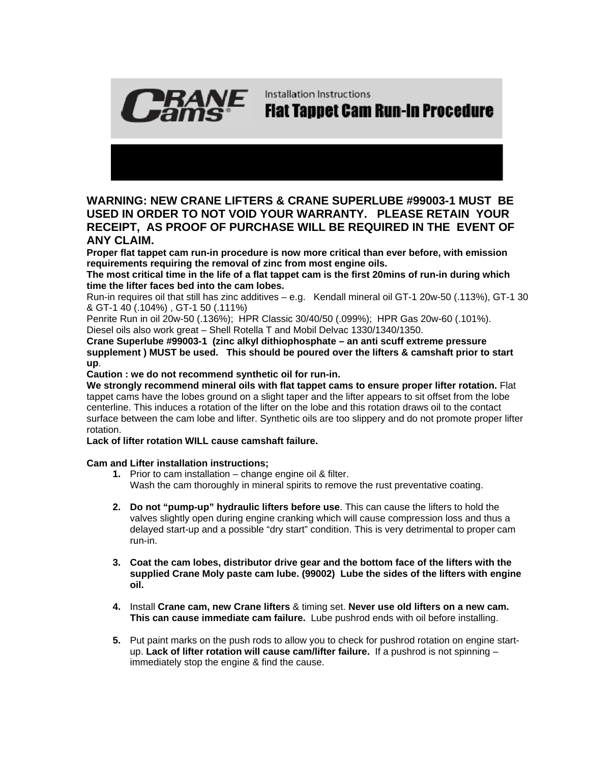

Installation Instructions

## **Flat Tappet Cam Run-In Procedure**

## **WARNING: NEW CRANE LIFTERS & CRANE SUPERLUBE #99003-1 MUST BE USED IN ORDER TO NOT VOID YOUR WARRANTY. PLEASE RETAIN YOUR RECEIPT, AS PROOF OF PURCHASE WILL BE REQUIRED IN THE EVENT OF ANY CLAIM.**

**Proper flat tappet cam run-in procedure is now more critical than ever before, with emission requirements requiring the removal of zinc from most engine oils.** 

**The most critical time in the life of a flat tappet cam is the first 20mins of run-in during which time the lifter faces bed into the cam lobes.** 

Run-in requires oil that still has zinc additives – e.g. Kendall mineral oil GT-1 20w-50 (.113%), GT-1 30 & GT-1 40 (.104%) , GT-1 50 (.111%)

Penrite Run in oil 20w-50 (.136%); HPR Classic 30/40/50 (.099%); HPR Gas 20w-60 (.101%). Diesel oils also work great – Shell Rotella T and Mobil Delvac 1330/1340/1350.

**Crane Superlube #99003-1 (zinc alkyl dithiophosphate – an anti scuff extreme pressure supplement ) MUST be used. This should be poured over the lifters & camshaft prior to start up**.

**Caution : we do not recommend synthetic oil for run-in.** 

**We strongly recommend mineral oils with flat tappet cams to ensure proper lifter rotation.** Flat tappet cams have the lobes ground on a slight taper and the lifter appears to sit offset from the lobe centerline. This induces a rotation of the lifter on the lobe and this rotation draws oil to the contact surface between the cam lobe and lifter. Synthetic oils are too slippery and do not promote proper lifter rotation.

**Lack of lifter rotation WILL cause camshaft failure.**

**Cam and Lifter installation instructions;**

- **1.** Prior to cam installation change engine oil & filter. Wash the cam thoroughly in mineral spirits to remove the rust preventative coating.
- **2. Do not "pump-up" hydraulic lifters before use**. This can cause the lifters to hold the valves slightly open during engine cranking which will cause compression loss and thus a delayed start-up and a possible "dry start" condition. This is very detrimental to proper cam run-in.
- **3. Coat the cam lobes, distributor drive gear and the bottom face of the lifters with the supplied Crane Moly paste cam lube. (99002) Lube the sides of the lifters with engine oil.**
- **4.** Install **Crane cam, new Crane lifters** & timing set. **Never use old lifters on a new cam. This can cause immediate cam failure.** Lube pushrod ends with oil before installing.
- **5.** Put paint marks on the push rods to allow you to check for pushrod rotation on engine startup. **Lack of lifter rotation will cause cam/lifter failure.** If a pushrod is not spinning – immediately stop the engine & find the cause.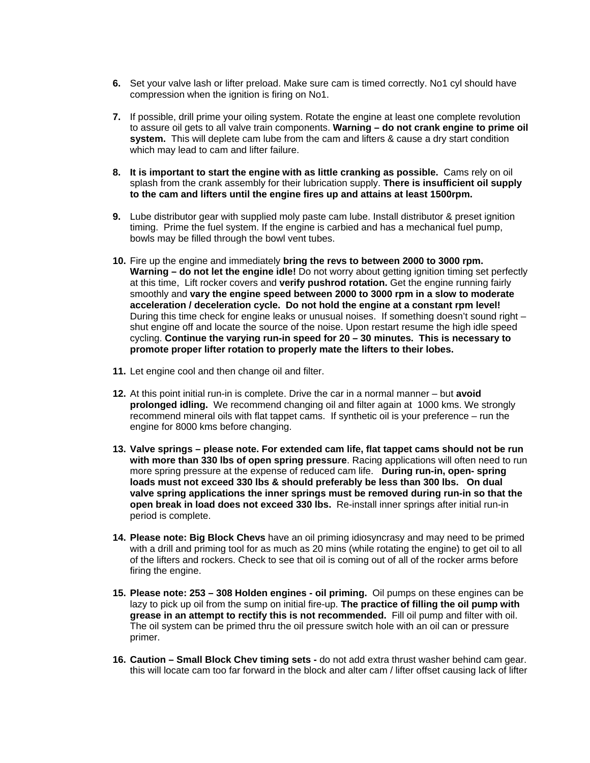- **6.** Set your valve lash or lifter preload. Make sure cam is timed correctly. No1 cyl should have compression when the ignition is firing on No1.
- **7.** If possible, drill prime your oiling system. Rotate the engine at least one complete revolution to assure oil gets to all valve train components. **Warning – do not crank engine to prime oil system.** This will deplete cam lube from the cam and lifters & cause a dry start condition which may lead to cam and lifter failure.
- **8. It is important to start the engine with as little cranking as possible.** Cams rely on oil splash from the crank assembly for their lubrication supply. **There is insufficient oil supply to the cam and lifters until the engine fires up and attains at least 1500rpm.**
- **9.** Lube distributor gear with supplied moly paste cam lube. Install distributor & preset ignition timing. Prime the fuel system. If the engine is carbied and has a mechanical fuel pump, bowls may be filled through the bowl vent tubes.
- **10.** Fire up the engine and immediately **bring the revs to between 2000 to 3000 rpm. Warning – do not let the engine idle!** Do not worry about getting ignition timing set perfectly at this time, Lift rocker covers and **verify pushrod rotation.** Get the engine running fairly smoothly and **vary the engine speed between 2000 to 3000 rpm in a slow to moderate acceleration / deceleration cycle. Do not hold the engine at a constant rpm level!**  During this time check for engine leaks or unusual noises. If something doesn't sound right – shut engine off and locate the source of the noise. Upon restart resume the high idle speed cycling. **Continue the varying run-in speed for 20 – 30 minutes. This is necessary to promote proper lifter rotation to properly mate the lifters to their lobes.**
- **11.** Let engine cool and then change oil and filter.
- **12.** At this point initial run-in is complete. Drive the car in a normal manner but **avoid prolonged idling.** We recommend changing oil and filter again at 1000 kms. We strongly recommend mineral oils with flat tappet cams. If synthetic oil is your preference – run the engine for 8000 kms before changing.
- **13. Valve springs please note. For extended cam life, flat tappet cams should not be run with more than 330 lbs of open spring pressure**. Racing applications will often need to run more spring pressure at the expense of reduced cam life. **During run-in, open- spring loads must not exceed 330 lbs & should preferably be less than 300 lbs. On dual valve spring applications the inner springs must be removed during run-in so that the open break in load does not exceed 330 lbs.** Re-install inner springs after initial run-in period is complete.
- **14. Please note: Big Block Chevs** have an oil priming idiosyncrasy and may need to be primed with a drill and priming tool for as much as 20 mins (while rotating the engine) to get oil to all of the lifters and rockers. Check to see that oil is coming out of all of the rocker arms before firing the engine.
- **15. Please note: 253 308 Holden engines oil priming.** Oil pumps on these engines can be lazy to pick up oil from the sump on initial fire-up. **The practice of filling the oil pump with grease in an attempt to rectify this is not recommended.** Fill oil pump and filter with oil. The oil system can be primed thru the oil pressure switch hole with an oil can or pressure primer.
- **16. Caution Small Block Chev timing sets** do not add extra thrust washer behind cam gear. this will locate cam too far forward in the block and alter cam / lifter offset causing lack of lifter